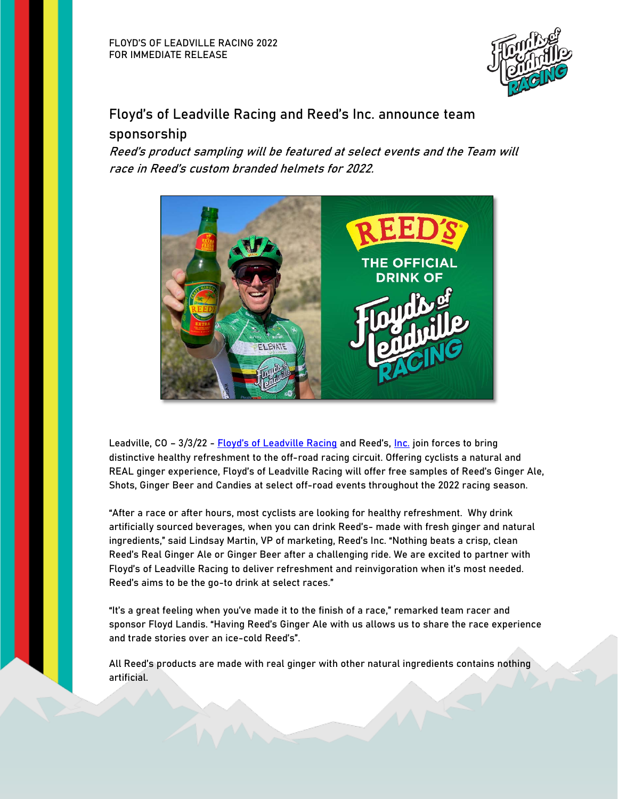

## Floyd's of Leadville Racing and Reed's Inc. announce team sponsorship

Reed's product sampling will be featured at select events and the Team will race in Reed's custom branded helmets for 2022.



Leadville, CO - 3/3/22 - [Floyd's of Leadville Racing](https://floydsofleadvilleracing.com/) and Reed's, [Inc.](http://www.drinkreeds.com/) join forces to bring distinctive healthy refreshment to the off-road racing circuit. Offering cyclists a natural and REAL ginger experience, Floyd's of Leadville Racing will offer free samples of Reed's Ginger Ale, Shots, Ginger Beer and Candies at select off-road events throughout the 2022 racing season.

"After a race or after hours, most cyclists are looking for healthy refreshment. Why drink artificially sourced beverages, when you can drink Reed's- made with fresh ginger and natural ingredients," said Lindsay Martin, VP of marketing, Reed's Inc. "Nothing beats a crisp, clean Reed's Real Ginger Ale or Ginger Beer after a challenging ride. We are excited to partner with Floyd's of Leadville Racing to deliver refreshment and reinvigoration when it's most needed. Reed's aims to be the go-to drink at select races."

"It's a great feeling when you've made it to the finish of a race," remarked team racer and sponsor Floyd Landis. "Having Reed's Ginger Ale with us allows us to share the race experience and trade stories over an ice-cold Reed's".

All Reed's products are made with real ginger with other natural ingredients contains nothing artificial.